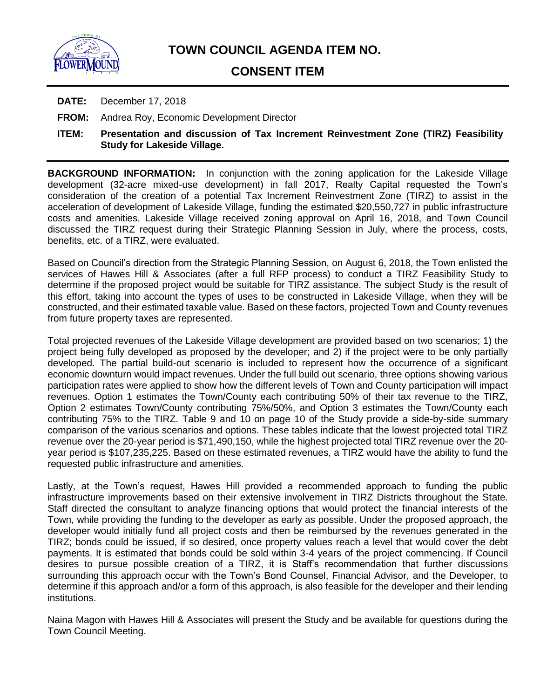

# **CONSENT ITEM**

- **DATE:** December 17, 2018
- **FROM:** Andrea Roy, Economic Development Director
- **ITEM: Presentation and discussion of Tax Increment Reinvestment Zone (TIRZ) Feasibility Study for Lakeside Village.**

**BACKGROUND INFORMATION:** In conjunction with the zoning application for the Lakeside Village development (32-acre mixed-use development) in fall 2017, Realty Capital requested the Town's consideration of the creation of a potential Tax Increment Reinvestment Zone (TIRZ) to assist in the acceleration of development of Lakeside Village, funding the estimated \$20,550,727 in public infrastructure costs and amenities. Lakeside Village received zoning approval on April 16, 2018, and Town Council discussed the TIRZ request during their Strategic Planning Session in July, where the process, costs, benefits, etc. of a TIRZ, were evaluated.

Based on Council's direction from the Strategic Planning Session, on August 6, 2018, the Town enlisted the services of Hawes Hill & Associates (after a full RFP process) to conduct a TIRZ Feasibility Study to determine if the proposed project would be suitable for TIRZ assistance. The subject Study is the result of this effort, taking into account the types of uses to be constructed in Lakeside Village, when they will be constructed, and their estimated taxable value. Based on these factors, projected Town and County revenues from future property taxes are represented.

Total projected revenues of the Lakeside Village development are provided based on two scenarios; 1) the project being fully developed as proposed by the developer; and 2) if the project were to be only partially developed. The partial build-out scenario is included to represent how the occurrence of a significant economic downturn would impact revenues. Under the full build out scenario, three options showing various participation rates were applied to show how the different levels of Town and County participation will impact revenues. Option 1 estimates the Town/County each contributing 50% of their tax revenue to the TIRZ, Option 2 estimates Town/County contributing 75%/50%, and Option 3 estimates the Town/County each contributing 75% to the TIRZ. Table 9 and 10 on page 10 of the Study provide a side-by-side summary comparison of the various scenarios and options. These tables indicate that the lowest projected total TIRZ revenue over the 20-year period is \$71,490,150, while the highest projected total TIRZ revenue over the 20 year period is \$107,235,225. Based on these estimated revenues, a TIRZ would have the ability to fund the requested public infrastructure and amenities.

Lastly, at the Town's request, Hawes Hill provided a recommended approach to funding the public infrastructure improvements based on their extensive involvement in TIRZ Districts throughout the State. Staff directed the consultant to analyze financing options that would protect the financial interests of the Town, while providing the funding to the developer as early as possible. Under the proposed approach, the developer would initially fund all project costs and then be reimbursed by the revenues generated in the TIRZ; bonds could be issued, if so desired, once property values reach a level that would cover the debt payments. It is estimated that bonds could be sold within 3-4 years of the project commencing. If Council desires to pursue possible creation of a TIRZ, it is Staff's recommendation that further discussions surrounding this approach occur with the Town's Bond Counsel, Financial Advisor, and the Developer, to determine if this approach and/or a form of this approach, is also feasible for the developer and their lending institutions.

Naina Magon with Hawes Hill & Associates will present the Study and be available for questions during the Town Council Meeting.